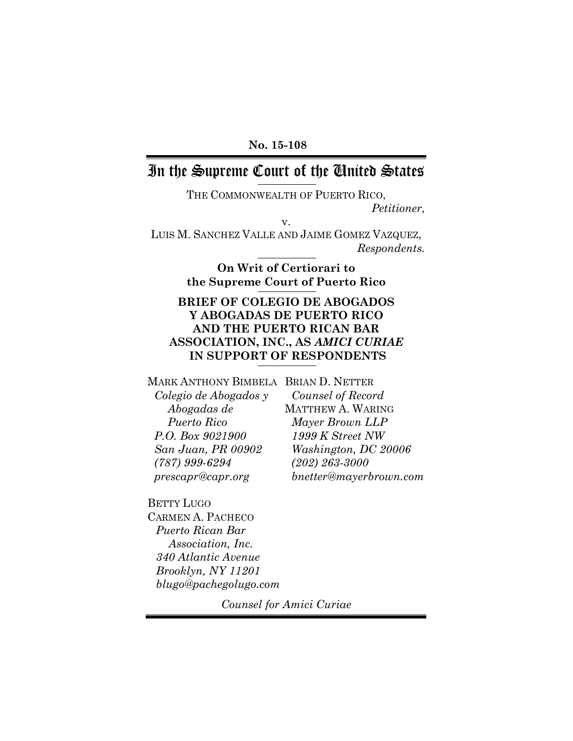### **No. 15-108**

# In the Supreme Court of the United States

THE COMMONWEALTH OF PUERTO RICO, *Petitioner*, v.

LUIS M. SANCHEZ VALLE AND JAIME GOMEZ VAZQUEZ, *Respondents.*

> **On Writ of Certiorari to the Supreme Court of Puerto Rico**

## **BRIEF OF COLEGIO DE ABOGADOS Y ABOGADAS DE PUERTO RICO AND THE PUERTO RICAN BAR ASSOCIATION, INC., AS** *AMICI CURIAE* **IN SUPPORT OF RESPONDENTS**

MARK ANTHONY BIMBELA BRIAN D. NETTER

*Colegio de Abogados y Abogadas de Puerto Rico P.O. Box 9021900 San Juan, PR 00902 (787) 999-6294 prescapr@capr.org*

*Counsel of Record* MATTHEW A. WARING *Mayer Brown LLP 1999 K Street NW Washington, DC 20006 (202) 263-3000 bnetter@mayerbrown.com*

BETTY LUGO CARMEN A. PACHECO *Puerto Rican Bar Association, Inc. 340 Atlantic Avenue Brooklyn, NY 11201 blugo@pachegolugo.com*

*Counsel for Amici Curiae*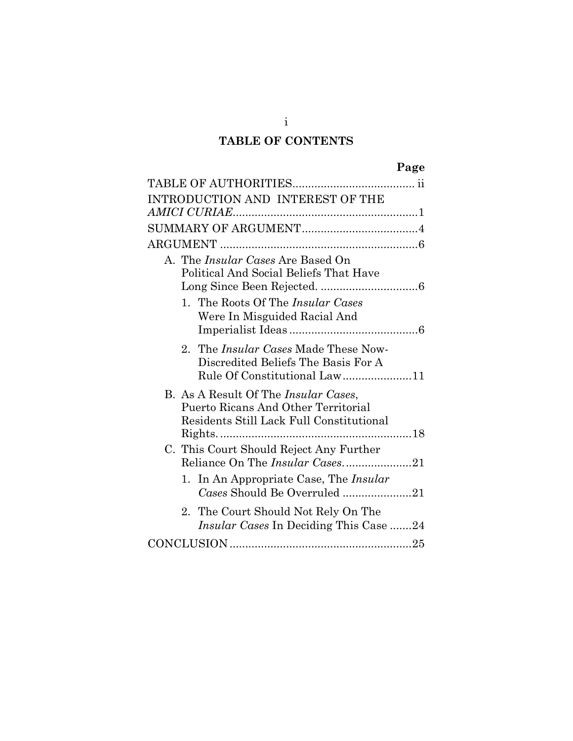# **TABLE OF CONTENTS**

|--|

| INTRODUCTION AND INTEREST OF THE                                                                                                |  |
|---------------------------------------------------------------------------------------------------------------------------------|--|
|                                                                                                                                 |  |
|                                                                                                                                 |  |
|                                                                                                                                 |  |
| A. The <i>Insular Cases</i> Are Based On<br>Political And Social Beliefs That Have                                              |  |
| 1. The Roots Of The <i>Insular Cases</i><br>Were In Misguided Racial And                                                        |  |
| 2. The <i>Insular Cases</i> Made These Now-<br>Discredited Beliefs The Basis For A<br>Rule Of Constitutional Law11              |  |
| B. As A Result Of The <i>Insular Cases</i> ,<br>Puerto Ricans And Other Territorial<br>Residents Still Lack Full Constitutional |  |
| C. This Court Should Reject Any Further<br>Reliance On The Insular Cases21                                                      |  |
| 1. In An Appropriate Case, The Insular<br>Cases Should Be Overruled 21                                                          |  |
| 2. The Court Should Not Rely On The<br><i>Insular Cases</i> In Deciding This Case 24                                            |  |
|                                                                                                                                 |  |

i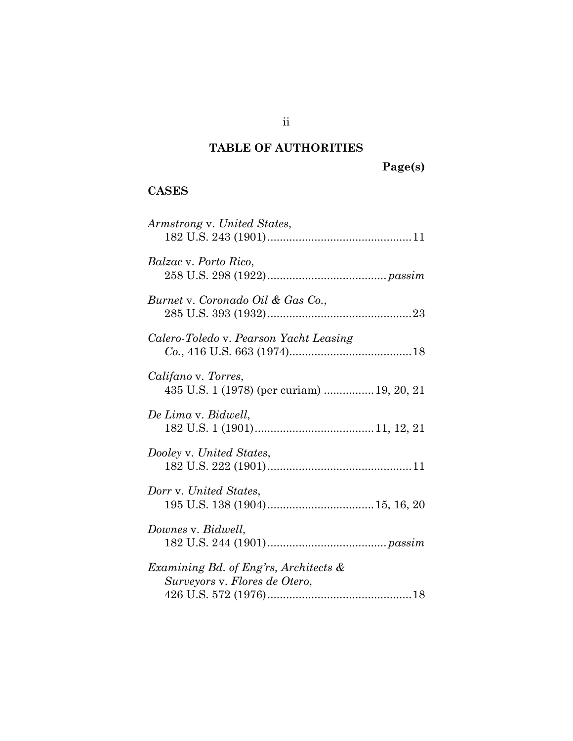# **TABLE OF AUTHORITIES**

**Page(s)**

# **CASES**

| Armstrong v. United States,                                               |
|---------------------------------------------------------------------------|
| <i>Balzac</i> v. Porto Rico,                                              |
| Burnet v. Coronado Oil & Gas Co.,                                         |
| Calero-Toledo v. Pearson Yacht Leasing                                    |
| Califano v. Torres,<br>435 U.S. 1 (1978) (per curiam)  19, 20, 21         |
| De Lima v. Bidwell,                                                       |
| Dooley v. United States,                                                  |
| Dorr v. United States,                                                    |
| Downes v. Bidwell,                                                        |
| Examining Bd. of Eng'rs, Architects $\&$<br>Surveyors v. Flores de Otero, |

ii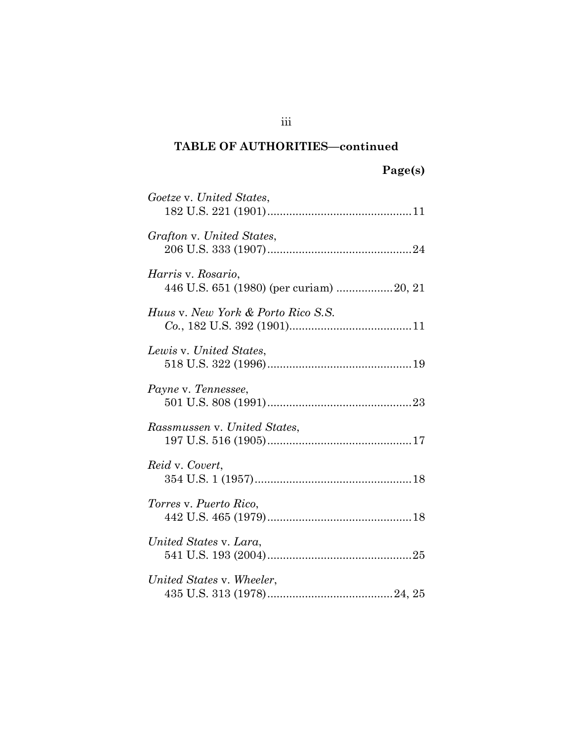| Goetze v. United States,                                      |
|---------------------------------------------------------------|
| Grafton v. United States,                                     |
| Harris v. Rosario,<br>446 U.S. 651 (1980) (per curiam) 20, 21 |
| Huus v. New York & Porto Rico S.S.                            |
| Lewis v. United States,                                       |
| Payne v. Tennessee,                                           |
| Rassmussen v. United States,                                  |
| Reid v. Covert,                                               |
| Torres v. Puerto Rico,                                        |
| United States v. Lara,                                        |
| United States v. Wheeler,                                     |

iii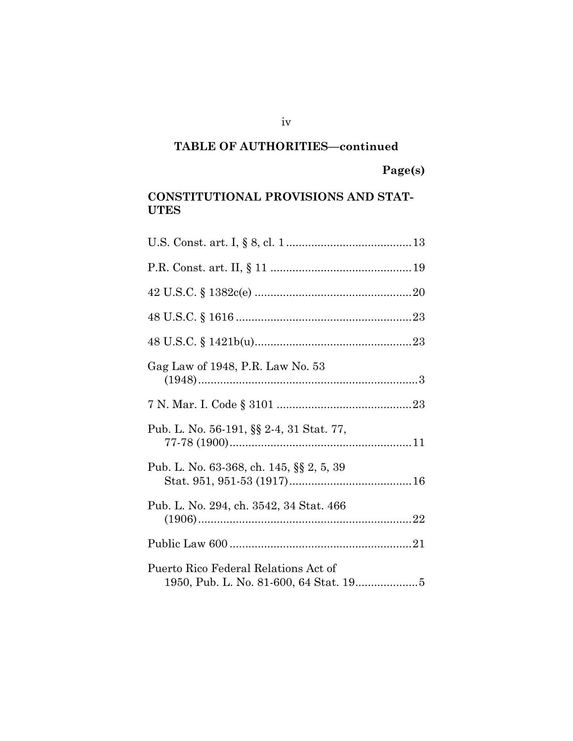**Page(s)**

## **CONSTITUTIONAL PROVISIONS AND STAT-UTES**

| Gag Law of 1948, P.R. Law No. 53         |
|------------------------------------------|
|                                          |
| Pub. L. No. 56-191, §§ 2-4, 31 Stat. 77, |
| Pub. L. No. 63-368, ch. 145, §§ 2, 5, 39 |
| Pub. L. No. 294, ch. 3542, 34 Stat. 466  |
|                                          |
| Puerto Rico Federal Relations Act of     |

iv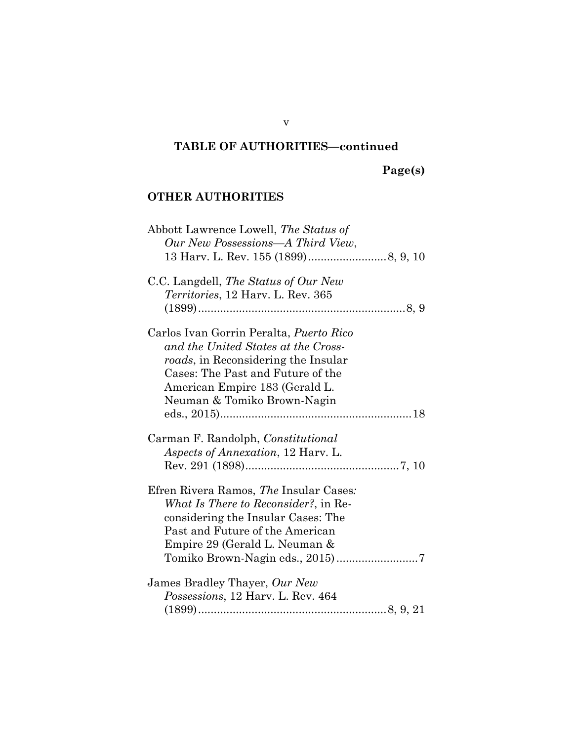# **Page(s)**

## **OTHER AUTHORITIES**

| Abbott Lawrence Lowell, The Status of          |
|------------------------------------------------|
| Our New Possessions-A Third View,              |
|                                                |
| C.C. Langdell, The Status of Our New           |
| <i>Territories</i> , 12 Harv. L. Rev. 365      |
|                                                |
| Carlos Ivan Gorrin Peralta, <i>Puerto Rico</i> |
| and the United States at the Cross-            |
| roads, in Reconsidering the Insular            |
| Cases: The Past and Future of the              |
| American Empire 183 (Gerald L.                 |
| Neuman & Tomiko Brown-Nagin                    |
|                                                |
|                                                |
| Carman F. Randolph, Constitutional             |
| Aspects of Annexation, 12 Harv. L.             |
|                                                |
| Efren Rivera Ramos, The Insular Cases:         |
| <i>What Is There to Reconsider?</i> , in Re-   |
| considering the Insular Cases: The             |
| Past and Future of the American                |
| Empire 29 (Gerald L. Neuman &                  |
|                                                |
|                                                |
| James Bradley Thayer, Our New                  |
| Possessions, 12 Harv. L. Rev. 464              |
|                                                |

v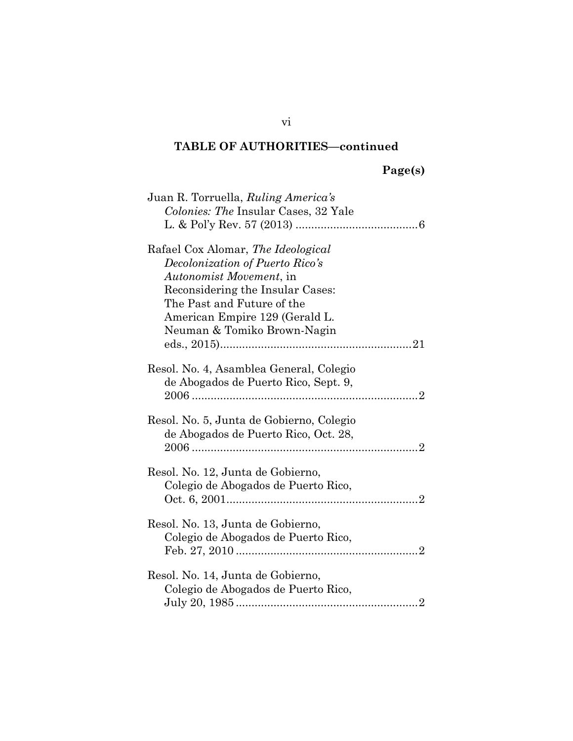| Juan R. Torruella, Ruling America's                                              |
|----------------------------------------------------------------------------------|
| <i>Colonies: The Insular Cases, 32 Yale</i>                                      |
|                                                                                  |
| Rafael Cox Alomar, The Ideological                                               |
| Decolonization of Puerto Rico's                                                  |
| <i>Autonomist Movement, in</i>                                                   |
| Reconsidering the Insular Cases:                                                 |
| The Past and Future of the                                                       |
| American Empire 129 (Gerald L.                                                   |
| Neuman & Tomiko Brown-Nagin                                                      |
|                                                                                  |
| Resol. No. 4, Asamblea General, Colegio                                          |
| de Abogados de Puerto Rico, Sept. 9,                                             |
|                                                                                  |
|                                                                                  |
| Resol. No. 5, Junta de Gobierno, Colegio<br>de Abogados de Puerto Rico, Oct. 28, |
|                                                                                  |
|                                                                                  |
| Resol. No. 12, Junta de Gobierno,                                                |
| Colegio de Abogados de Puerto Rico,                                              |
|                                                                                  |
|                                                                                  |
| Resol. No. 13, Junta de Gobierno,                                                |
| Colegio de Abogados de Puerto Rico,                                              |
|                                                                                  |
| Resol. No. 14, Junta de Gobierno,                                                |
| Colegio de Abogados de Puerto Rico,                                              |
|                                                                                  |
|                                                                                  |

vi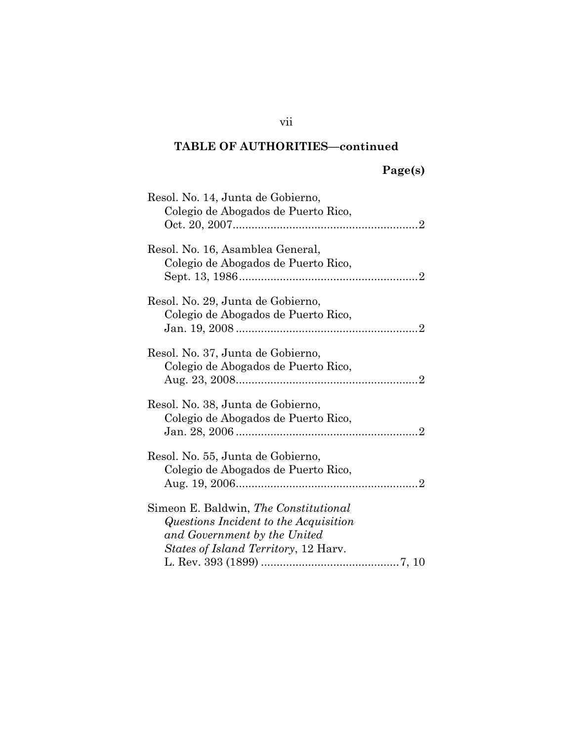# **Page(s)**

| Resol. No. 14, Junta de Gobierno,<br>Colegio de Abogados de Puerto Rico,                                                                                       |
|----------------------------------------------------------------------------------------------------------------------------------------------------------------|
| Resol. No. 16, Asamblea General,<br>Colegio de Abogados de Puerto Rico,                                                                                        |
| Resol. No. 29, Junta de Gobierno,<br>Colegio de Abogados de Puerto Rico,                                                                                       |
| Resol. No. 37, Junta de Gobierno,<br>Colegio de Abogados de Puerto Rico,                                                                                       |
| Resol. No. 38, Junta de Gobierno,<br>Colegio de Abogados de Puerto Rico,                                                                                       |
| Resol. No. 55, Junta de Gobierno,<br>Colegio de Abogados de Puerto Rico,<br>$\overline{2}$                                                                     |
| Simeon E. Baldwin, The Constitutional<br>Questions Incident to the Acquisition<br>and Government by the United<br><i>States of Island Territory</i> , 12 Harv. |

vii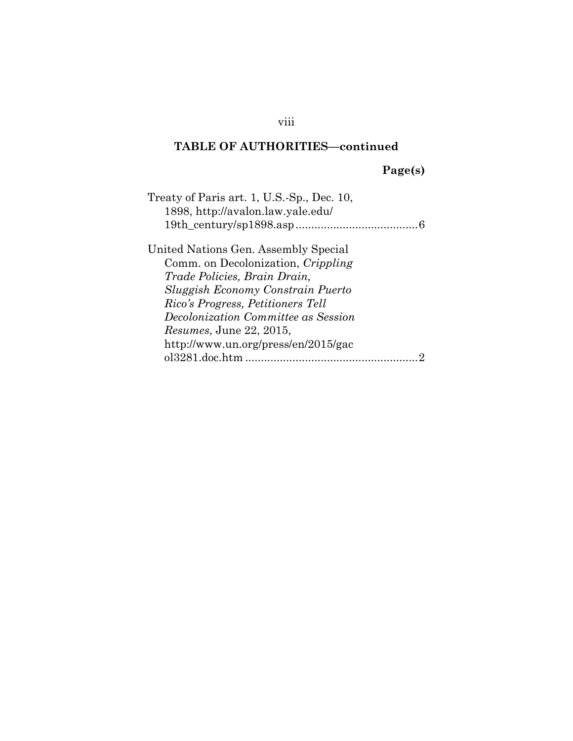# **Page(s)**

viii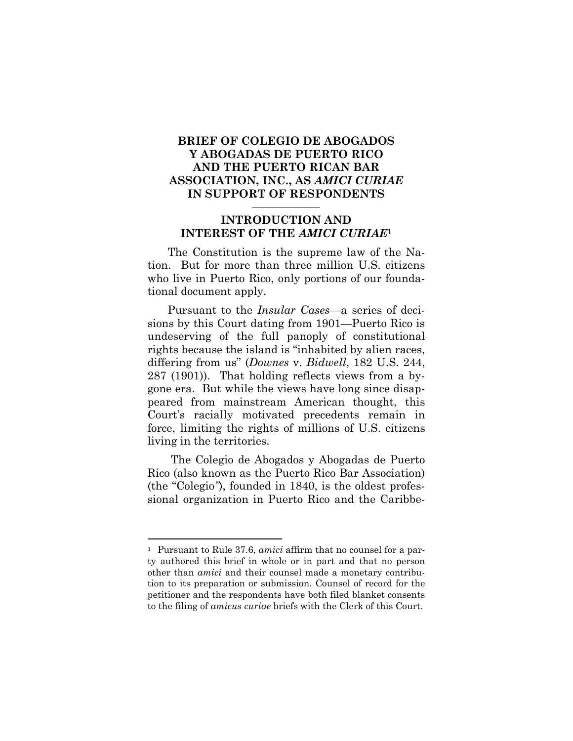## **BRIEF OF COLEGIO DE ABOGADOS Y ABOGADAS DE PUERTO RICO AND THE PUERTO RICAN BAR ASSOCIATION, INC., AS** *AMICI CURIAE* **IN SUPPORT OF RESPONDENTS**

## **INTRODUCTION AND INTEREST OF THE** *AMICI CURIAE***<sup>1</sup>**

The Constitution is the supreme law of the Nation. But for more than three million U.S. citizens who live in Puerto Rico, only portions of our foundational document apply.

Pursuant to the *Insular Cases*—a series of decisions by this Court dating from 1901—Puerto Rico is undeserving of the full panoply of constitutional rights because the island is "inhabited by alien races, differing from us" (*Downes* v. *Bidwell*, 182 U.S. 244, 287 (1901)). That holding reflects views from a bygone era. But while the views have long since disappeared from mainstream American thought, this Court's racially motivated precedents remain in force, limiting the rights of millions of U.S. citizens living in the territories.

The Colegio de Abogados y Abogadas de Puerto Rico (also known as the Puerto Rico Bar Association) (the "Colegio*"*), founded in 1840, is the oldest professional organization in Puerto Rico and the Caribbe-

<sup>1</sup> Pursuant to Rule 37.6, *amici* affirm that no counsel for a party authored this brief in whole or in part and that no person other than *amici* and their counsel made a monetary contribution to its preparation or submission. Counsel of record for the petitioner and the respondents have both filed blanket consents to the filing of *amicus curiae* briefs with the Clerk of this Court.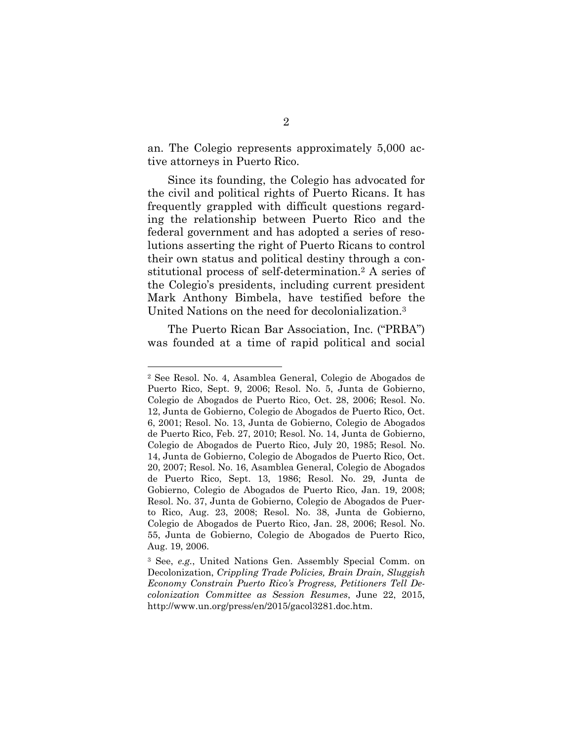an. The Colegio represents approximately 5,000 active attorneys in Puerto Rico.

Since its founding, the Colegio has advocated for the civil and political rights of Puerto Ricans. It has frequently grappled with difficult questions regarding the relationship between Puerto Rico and the federal government and has adopted a series of resolutions asserting the right of Puerto Ricans to control their own status and political destiny through a constitutional process of self-determination.<sup>2</sup> A series of the Colegio's presidents, including current president Mark Anthony Bimbela, have testified before the United Nations on the need for decolonialization.<sup>3</sup>

The Puerto Rican Bar Association, Inc. ("PRBA") was founded at a time of rapid political and social

<sup>2</sup> See Resol. No. 4, Asamblea General, Colegio de Abogados de Puerto Rico, Sept. 9, 2006; Resol. No. 5, Junta de Gobierno, Colegio de Abogados de Puerto Rico, Oct. 28, 2006; Resol. No. 12, Junta de Gobierno, Colegio de Abogados de Puerto Rico, Oct. 6, 2001; Resol. No. 13, Junta de Gobierno, Colegio de Abogados de Puerto Rico, Feb. 27, 2010; Resol. No. 14, Junta de Gobierno, Colegio de Abogados de Puerto Rico, July 20, 1985; Resol. No. 14, Junta de Gobierno, Colegio de Abogados de Puerto Rico, Oct. 20, 2007; Resol. No. 16, Asamblea General, Colegio de Abogados de Puerto Rico, Sept. 13, 1986; Resol. No. 29, Junta de Gobierno, Colegio de Abogados de Puerto Rico, Jan. 19, 2008; Resol. No. 37, Junta de Gobierno, Colegio de Abogados de Puerto Rico, Aug. 23, 2008; Resol. No. 38, Junta de Gobierno, Colegio de Abogados de Puerto Rico, Jan. 28, 2006; Resol. No. 55, Junta de Gobierno, Colegio de Abogados de Puerto Rico, Aug. 19, 2006.

<sup>3</sup> See, *e.g.*, United Nations Gen. Assembly Special Comm. on Decolonization, *Crippling Trade Policies, Brain Drain, Sluggish Economy Constrain Puerto Rico's Progress, Petitioners Tell Decolonization Committee as Session Resumes*, June 22, 2015, http://www.un.org/press/en/2015/gacol3281.doc.htm.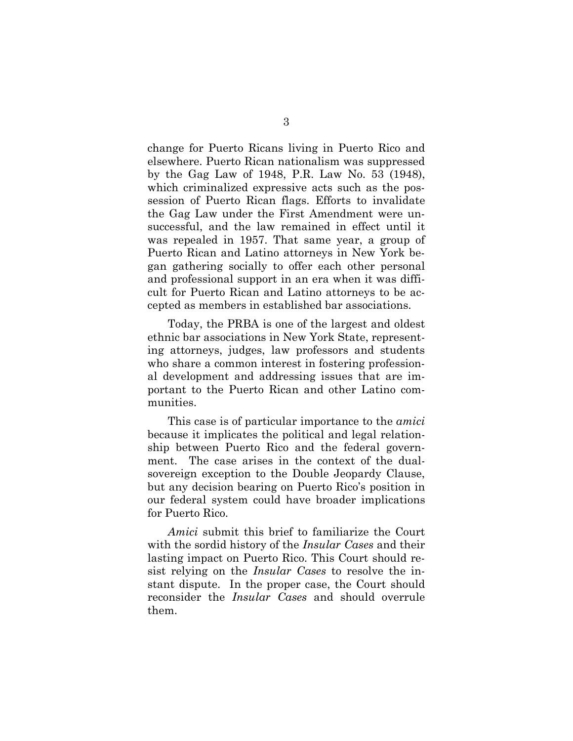change for Puerto Ricans living in Puerto Rico and elsewhere. Puerto Rican nationalism was suppressed by the Gag Law of 1948, P.R. Law No. 53 (1948), which criminalized expressive acts such as the possession of Puerto Rican flags. Efforts to invalidate the Gag Law under the First Amendment were unsuccessful, and the law remained in effect until it was repealed in 1957. That same year, a group of Puerto Rican and Latino attorneys in New York began gathering socially to offer each other personal and professional support in an era when it was difficult for Puerto Rican and Latino attorneys to be accepted as members in established bar associations.

Today, the PRBA is one of the largest and oldest ethnic bar associations in New York State, representing attorneys, judges, law professors and students who share a common interest in fostering professional development and addressing issues that are important to the Puerto Rican and other Latino communities.

This case is of particular importance to the *amici* because it implicates the political and legal relationship between Puerto Rico and the federal government. The case arises in the context of the dualsovereign exception to the Double Jeopardy Clause, but any decision bearing on Puerto Rico's position in our federal system could have broader implications for Puerto Rico.

*Amici* submit this brief to familiarize the Court with the sordid history of the *Insular Cases* and their lasting impact on Puerto Rico. This Court should resist relying on the *Insular Cases* to resolve the instant dispute. In the proper case, the Court should reconsider the *Insular Cases* and should overrule them.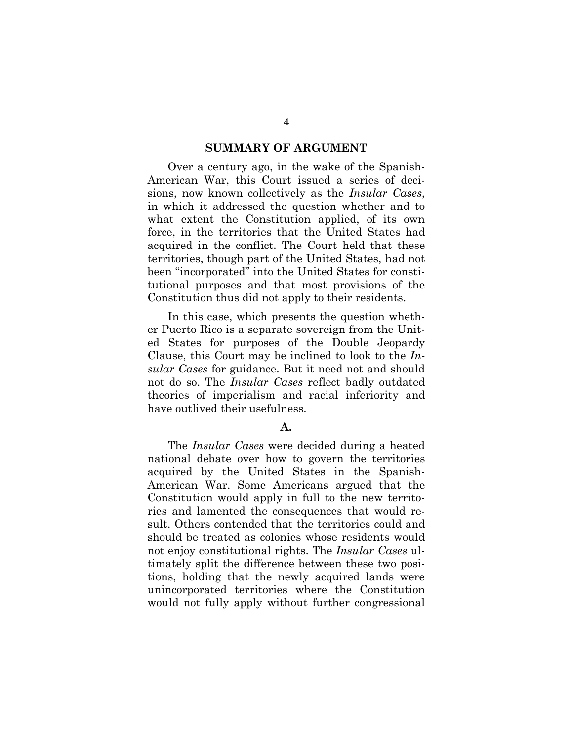#### **SUMMARY OF ARGUMENT**

Over a century ago, in the wake of the Spanish-American War, this Court issued a series of decisions, now known collectively as the *Insular Cases*, in which it addressed the question whether and to what extent the Constitution applied, of its own force, in the territories that the United States had acquired in the conflict. The Court held that these territories, though part of the United States, had not been "incorporated" into the United States for constitutional purposes and that most provisions of the Constitution thus did not apply to their residents.

In this case, which presents the question whether Puerto Rico is a separate sovereign from the United States for purposes of the Double Jeopardy Clause, this Court may be inclined to look to the *Insular Cases* for guidance. But it need not and should not do so. The *Insular Cases* reflect badly outdated theories of imperialism and racial inferiority and have outlived their usefulness.

#### **A.**

The *Insular Cases* were decided during a heated national debate over how to govern the territories acquired by the United States in the Spanish-American War. Some Americans argued that the Constitution would apply in full to the new territories and lamented the consequences that would result. Others contended that the territories could and should be treated as colonies whose residents would not enjoy constitutional rights. The *Insular Cases* ultimately split the difference between these two positions, holding that the newly acquired lands were unincorporated territories where the Constitution would not fully apply without further congressional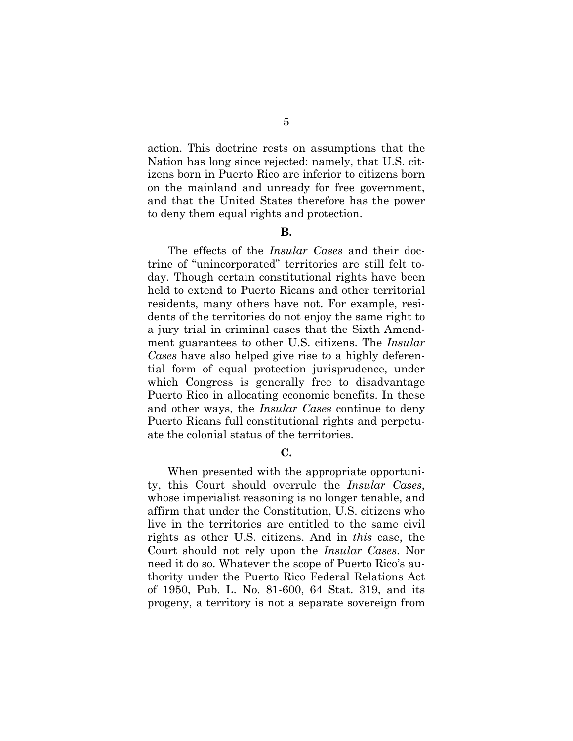action. This doctrine rests on assumptions that the Nation has long since rejected: namely, that U.S. citizens born in Puerto Rico are inferior to citizens born on the mainland and unready for free government, and that the United States therefore has the power to deny them equal rights and protection.

#### **B.**

The effects of the *Insular Cases* and their doctrine of "unincorporated" territories are still felt today. Though certain constitutional rights have been held to extend to Puerto Ricans and other territorial residents, many others have not. For example, residents of the territories do not enjoy the same right to a jury trial in criminal cases that the Sixth Amendment guarantees to other U.S. citizens. The *Insular Cases* have also helped give rise to a highly deferential form of equal protection jurisprudence, under which Congress is generally free to disadvantage Puerto Rico in allocating economic benefits. In these and other ways, the *Insular Cases* continue to deny Puerto Ricans full constitutional rights and perpetuate the colonial status of the territories.

### **C.**

When presented with the appropriate opportunity, this Court should overrule the *Insular Cases*, whose imperialist reasoning is no longer tenable, and affirm that under the Constitution, U.S. citizens who live in the territories are entitled to the same civil rights as other U.S. citizens. And in *this* case, the Court should not rely upon the *Insular Cases*. Nor need it do so. Whatever the scope of Puerto Rico's authority under the Puerto Rico Federal Relations Act of 1950, Pub. L. No. 81-600, 64 Stat. 319, and its progeny, a territory is not a separate sovereign from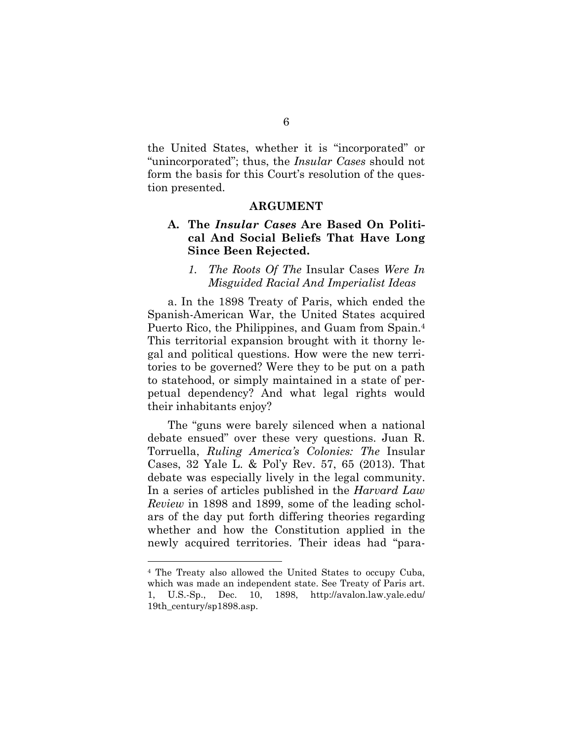the United States, whether it is "incorporated" or "unincorporated"; thus, the *Insular Cases* should not form the basis for this Court's resolution of the question presented.

#### **ARGUMENT**

### **A. The** *Insular Cases* **Are Based On Political And Social Beliefs That Have Long Since Been Rejected.**

#### *1. The Roots Of The* Insular Cases *Were In Misguided Racial And Imperialist Ideas*

a. In the 1898 Treaty of Paris, which ended the Spanish-American War, the United States acquired Puerto Rico, the Philippines, and Guam from Spain.<sup>4</sup> This territorial expansion brought with it thorny legal and political questions. How were the new territories to be governed? Were they to be put on a path to statehood, or simply maintained in a state of perpetual dependency? And what legal rights would their inhabitants enjoy?

The "guns were barely silenced when a national debate ensued" over these very questions. Juan R. Torruella, *Ruling America's Colonies: The* Insular Cases, 32 Yale L. & Pol'y Rev. 57, 65 (2013). That debate was especially lively in the legal community. In a series of articles published in the *Harvard Law Review* in 1898 and 1899, some of the leading scholars of the day put forth differing theories regarding whether and how the Constitution applied in the newly acquired territories. Their ideas had "para-

<sup>4</sup> The Treaty also allowed the United States to occupy Cuba, which was made an independent state. See Treaty of Paris art. 1, U.S.-Sp., Dec. 10, 1898, http://avalon.law.yale.edu/ 19th\_century/sp1898.asp.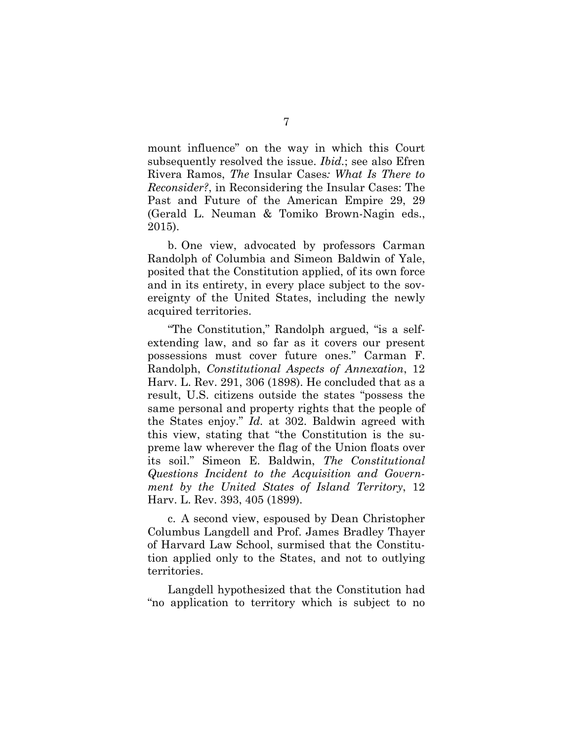mount influence" on the way in which this Court subsequently resolved the issue. *Ibid.*; see also Efren Rivera Ramos, *The* Insular Cases*: What Is There to Reconsider?*, in Reconsidering the Insular Cases: The Past and Future of the American Empire 29, 29 (Gerald L. Neuman & Tomiko Brown-Nagin eds., 2015).

b. One view, advocated by professors Carman Randolph of Columbia and Simeon Baldwin of Yale, posited that the Constitution applied, of its own force and in its entirety, in every place subject to the sovereignty of the United States, including the newly acquired territories.

"The Constitution," Randolph argued, "is a selfextending law, and so far as it covers our present possessions must cover future ones." Carman F. Randolph, *Constitutional Aspects of Annexation*, 12 Harv. L. Rev. 291, 306 (1898). He concluded that as a result, U.S. citizens outside the states "possess the same personal and property rights that the people of the States enjoy." *Id.* at 302. Baldwin agreed with this view, stating that "the Constitution is the supreme law wherever the flag of the Union floats over its soil." Simeon E. Baldwin, *The Constitutional Questions Incident to the Acquisition and Government by the United States of Island Territory*, 12 Harv. L. Rev. 393, 405 (1899).

c. A second view, espoused by Dean Christopher Columbus Langdell and Prof. James Bradley Thayer of Harvard Law School, surmised that the Constitution applied only to the States, and not to outlying territories.

Langdell hypothesized that the Constitution had "no application to territory which is subject to no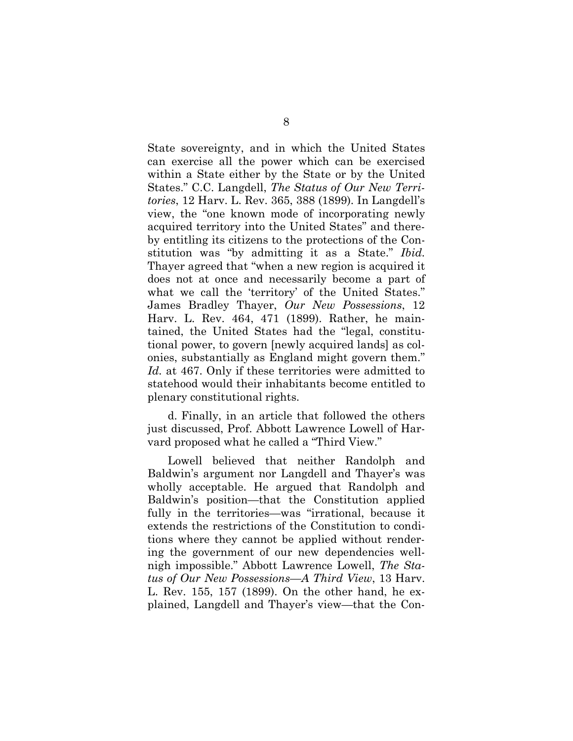State sovereignty, and in which the United States can exercise all the power which can be exercised within a State either by the State or by the United States." C.C. Langdell, *The Status of Our New Territories*, 12 Harv. L. Rev. 365, 388 (1899). In Langdell's view, the "one known mode of incorporating newly acquired territory into the United States" and thereby entitling its citizens to the protections of the Constitution was "by admitting it as a State." *Ibid.* Thayer agreed that "when a new region is acquired it does not at once and necessarily become a part of what we call the 'territory' of the United States." James Bradley Thayer, *Our New Possessions*, 12 Harv. L. Rev. 464, 471 (1899). Rather, he maintained, the United States had the "legal, constitutional power, to govern [newly acquired lands] as colonies, substantially as England might govern them." *Id.* at 467. Only if these territories were admitted to statehood would their inhabitants become entitled to plenary constitutional rights.

d. Finally, in an article that followed the others just discussed, Prof. Abbott Lawrence Lowell of Harvard proposed what he called a "Third View."

Lowell believed that neither Randolph and Baldwin's argument nor Langdell and Thayer's was wholly acceptable. He argued that Randolph and Baldwin's position—that the Constitution applied fully in the territories—was "irrational, because it extends the restrictions of the Constitution to conditions where they cannot be applied without rendering the government of our new dependencies wellnigh impossible." Abbott Lawrence Lowell, *The Status of Our New Possessions—A Third View*, 13 Harv. L. Rev. 155, 157 (1899). On the other hand, he explained, Langdell and Thayer's view—that the Con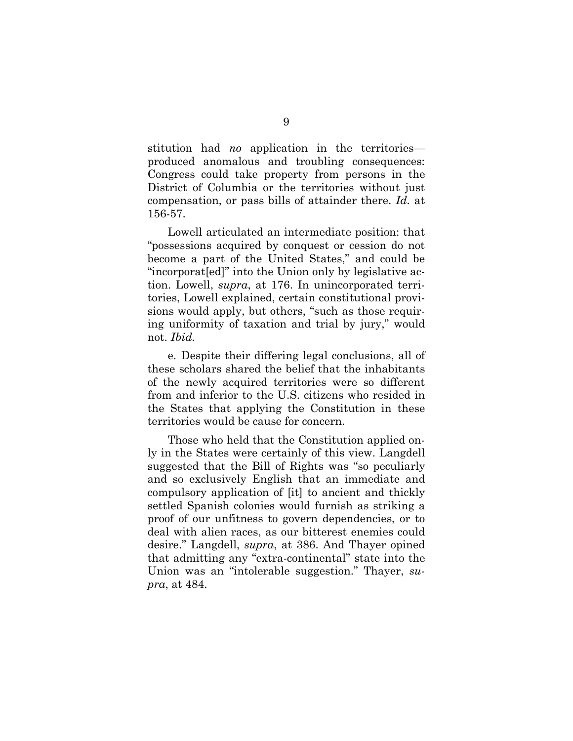stitution had *no* application in the territories produced anomalous and troubling consequences: Congress could take property from persons in the District of Columbia or the territories without just compensation, or pass bills of attainder there. *Id.* at 156-57.

Lowell articulated an intermediate position: that "possessions acquired by conquest or cession do not become a part of the United States," and could be "incorporat[ed]" into the Union only by legislative action. Lowell, *supra*, at 176. In unincorporated territories, Lowell explained, certain constitutional provisions would apply, but others, "such as those requiring uniformity of taxation and trial by jury," would not. *Ibid.*

e. Despite their differing legal conclusions, all of these scholars shared the belief that the inhabitants of the newly acquired territories were so different from and inferior to the U.S. citizens who resided in the States that applying the Constitution in these territories would be cause for concern.

Those who held that the Constitution applied only in the States were certainly of this view. Langdell suggested that the Bill of Rights was "so peculiarly and so exclusively English that an immediate and compulsory application of [it] to ancient and thickly settled Spanish colonies would furnish as striking a proof of our unfitness to govern dependencies, or to deal with alien races, as our bitterest enemies could desire." Langdell, *supra*, at 386. And Thayer opined that admitting any "extra-continental" state into the Union was an "intolerable suggestion." Thayer, *supra*, at 484.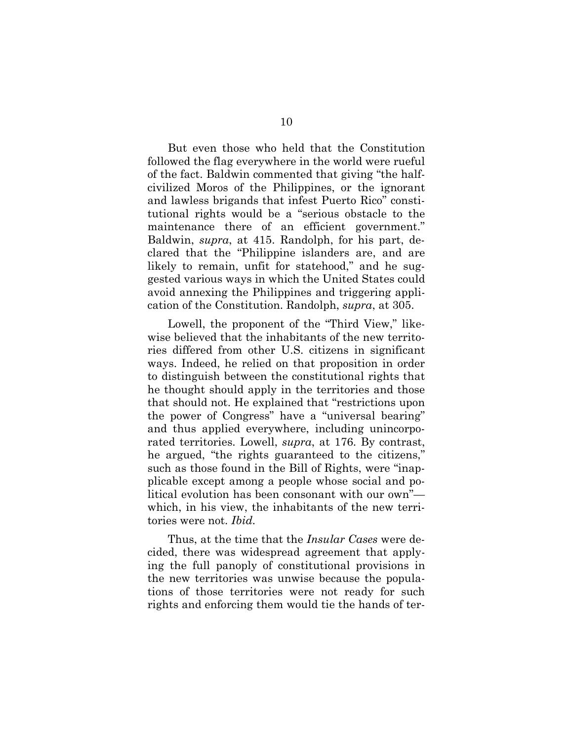But even those who held that the Constitution followed the flag everywhere in the world were rueful of the fact. Baldwin commented that giving "the halfcivilized Moros of the Philippines, or the ignorant and lawless brigands that infest Puerto Rico" constitutional rights would be a "serious obstacle to the maintenance there of an efficient government." Baldwin, *supra*, at 415. Randolph, for his part, declared that the "Philippine islanders are, and are likely to remain, unfit for statehood," and he suggested various ways in which the United States could avoid annexing the Philippines and triggering application of the Constitution. Randolph, *supra*, at 305.

Lowell, the proponent of the "Third View," likewise believed that the inhabitants of the new territories differed from other U.S. citizens in significant ways. Indeed, he relied on that proposition in order to distinguish between the constitutional rights that he thought should apply in the territories and those that should not. He explained that "restrictions upon the power of Congress" have a "universal bearing" and thus applied everywhere, including unincorporated territories. Lowell, *supra*, at 176. By contrast, he argued, "the rights guaranteed to the citizens," such as those found in the Bill of Rights, were "inapplicable except among a people whose social and political evolution has been consonant with our own" which, in his view, the inhabitants of the new territories were not. *Ibid.*

Thus, at the time that the *Insular Cases* were decided, there was widespread agreement that applying the full panoply of constitutional provisions in the new territories was unwise because the populations of those territories were not ready for such rights and enforcing them would tie the hands of ter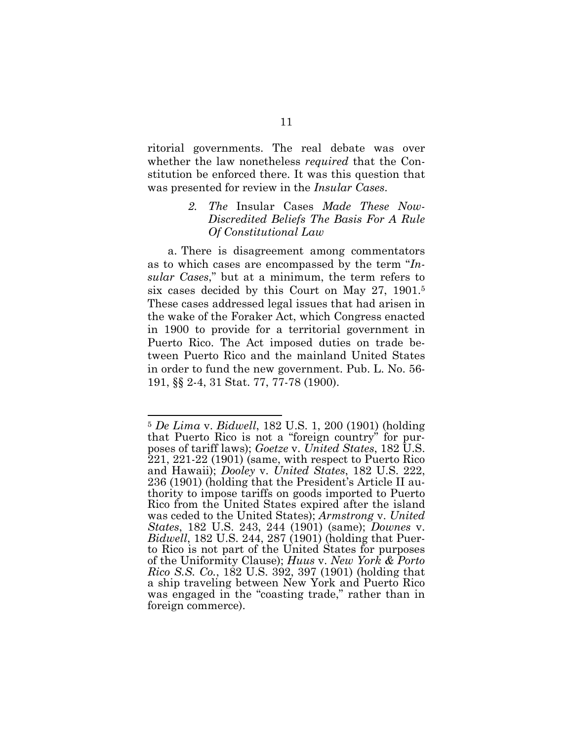ritorial governments. The real debate was over whether the law nonetheless *required* that the Constitution be enforced there. It was this question that was presented for review in the *Insular Cases*.

## *2. The* Insular Cases *Made These Now-Discredited Beliefs The Basis For A Rule Of Constitutional Law*

a. There is disagreement among commentators as to which cases are encompassed by the term "*Insular Cases*," but at a minimum, the term refers to six cases decided by this Court on May 27, 1901.<sup>5</sup> These cases addressed legal issues that had arisen in the wake of the Foraker Act, which Congress enacted in 1900 to provide for a territorial government in Puerto Rico. The Act imposed duties on trade between Puerto Rico and the mainland United States in order to fund the new government. Pub. L. No. 56- 191, §§ 2-4, 31 Stat. 77, 77-78 (1900).

<sup>5</sup> *De Lima* v. *Bidwell*, 182 U.S. 1, 200 (1901) (holding that Puerto Rico is not a "foreign country" for purposes of tariff laws); *Goetze* v. *United States*, 182 U.S. 221, 221-22 (1901) (same, with respect to Puerto Rico and Hawaii); *Dooley* v. *United States*, 182 U.S. 222, 236 (1901) (holding that the President's Article II authority to impose tariffs on goods imported to Puerto Rico from the United States expired after the island was ceded to the United States); *Armstrong* v. *United States*, 182 U.S. 243, 244 (1901) (same); *Downes* v. *Bidwell*, 182 U.S. 244, 287 (1901) (holding that Puerto Rico is not part of the United States for purposes of the Uniformity Clause); *Huus* v. *New York & Porto Rico S.S. Co.*, 182 U.S. 392, 397 (1901) (holding that a ship traveling between New York and Puerto Rico was engaged in the "coasting trade," rather than in foreign commerce).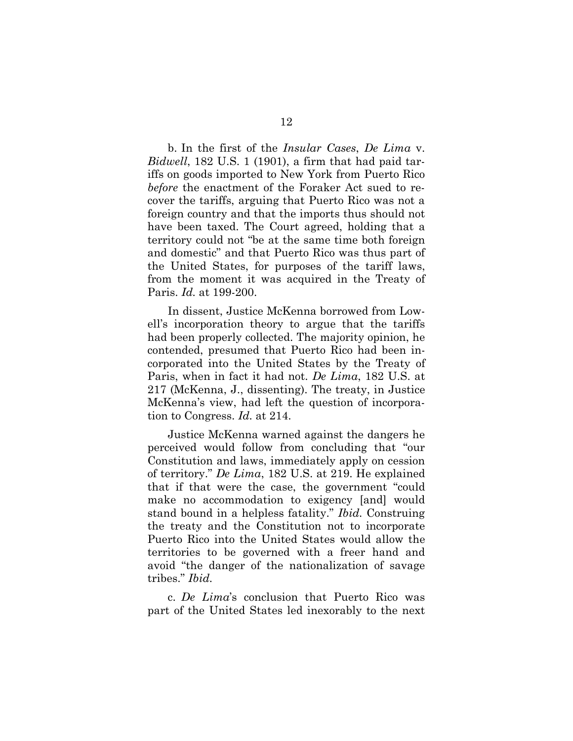b. In the first of the *Insular Cases*, *De Lima* v. *Bidwell*, 182 U.S. 1 (1901), a firm that had paid tariffs on goods imported to New York from Puerto Rico *before* the enactment of the Foraker Act sued to recover the tariffs, arguing that Puerto Rico was not a foreign country and that the imports thus should not have been taxed. The Court agreed, holding that a territory could not "be at the same time both foreign and domestic" and that Puerto Rico was thus part of the United States, for purposes of the tariff laws, from the moment it was acquired in the Treaty of Paris. *Id.* at 199-200.

In dissent, Justice McKenna borrowed from Lowell's incorporation theory to argue that the tariffs had been properly collected. The majority opinion, he contended, presumed that Puerto Rico had been incorporated into the United States by the Treaty of Paris, when in fact it had not. *De Lima*, 182 U.S. at 217 (McKenna, J., dissenting). The treaty, in Justice McKenna's view, had left the question of incorporation to Congress. *Id.* at 214.

Justice McKenna warned against the dangers he perceived would follow from concluding that "our Constitution and laws, immediately apply on cession of territory." *De Lima*, 182 U.S. at 219. He explained that if that were the case, the government "could make no accommodation to exigency [and] would stand bound in a helpless fatality." *Ibid.* Construing the treaty and the Constitution not to incorporate Puerto Rico into the United States would allow the territories to be governed with a freer hand and avoid "the danger of the nationalization of savage tribes." *Ibid.*

c. *De Lima*'s conclusion that Puerto Rico was part of the United States led inexorably to the next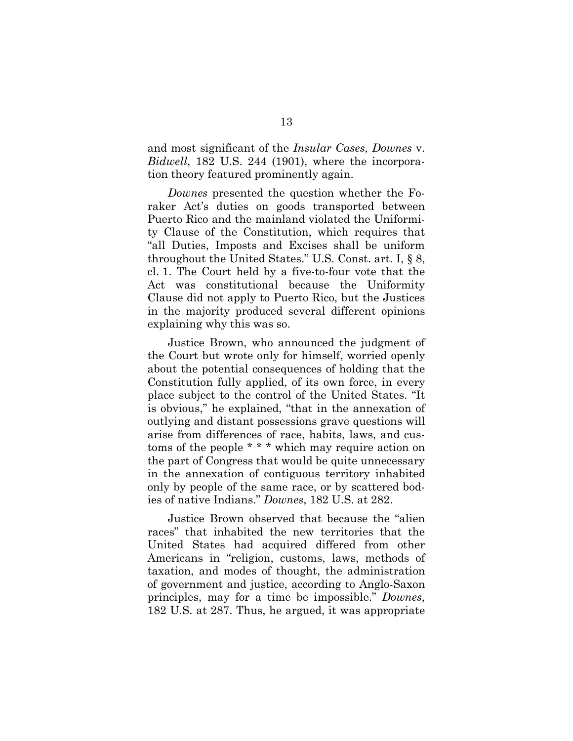and most significant of the *Insular Cases*, *Downes* v. *Bidwell*, 182 U.S. 244 (1901), where the incorporation theory featured prominently again.

*Downes* presented the question whether the Foraker Act's duties on goods transported between Puerto Rico and the mainland violated the Uniformity Clause of the Constitution, which requires that "all Duties, Imposts and Excises shall be uniform throughout the United States." U.S. Const. art. I, § 8, cl. 1. The Court held by a five-to-four vote that the Act was constitutional because the Uniformity Clause did not apply to Puerto Rico, but the Justices in the majority produced several different opinions explaining why this was so.

Justice Brown, who announced the judgment of the Court but wrote only for himself, worried openly about the potential consequences of holding that the Constitution fully applied, of its own force, in every place subject to the control of the United States. "It is obvious," he explained, "that in the annexation of outlying and distant possessions grave questions will arise from differences of race, habits, laws, and customs of the people \* \* \* which may require action on the part of Congress that would be quite unnecessary in the annexation of contiguous territory inhabited only by people of the same race, or by scattered bodies of native Indians." *Downes*, 182 U.S. at 282.

Justice Brown observed that because the "alien races" that inhabited the new territories that the United States had acquired differed from other Americans in "religion, customs, laws, methods of taxation, and modes of thought, the administration of government and justice, according to Anglo-Saxon principles, may for a time be impossible." *Downes*, 182 U.S. at 287. Thus, he argued, it was appropriate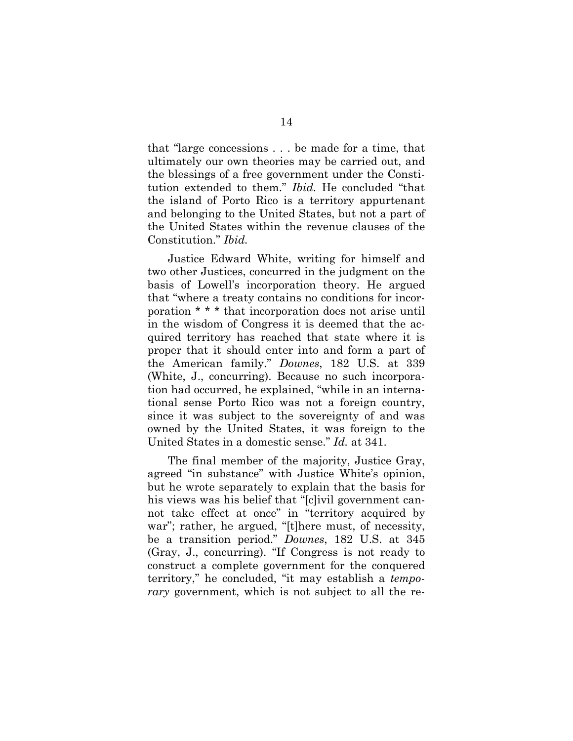that "large concessions . . . be made for a time, that ultimately our own theories may be carried out, and the blessings of a free government under the Constitution extended to them." *Ibid.* He concluded "that the island of Porto Rico is a territory appurtenant and belonging to the United States, but not a part of the United States within the revenue clauses of the Constitution." *Ibid.*

Justice Edward White, writing for himself and two other Justices, concurred in the judgment on the basis of Lowell's incorporation theory. He argued that "where a treaty contains no conditions for incorporation \* \* \* that incorporation does not arise until in the wisdom of Congress it is deemed that the acquired territory has reached that state where it is proper that it should enter into and form a part of the American family." *Downes*, 182 U.S. at 339 (White, J., concurring). Because no such incorporation had occurred, he explained, "while in an international sense Porto Rico was not a foreign country, since it was subject to the sovereignty of and was owned by the United States, it was foreign to the United States in a domestic sense." *Id.* at 341.

The final member of the majority, Justice Gray, agreed "in substance" with Justice White's opinion, but he wrote separately to explain that the basis for his views was his belief that "[c]ivil government cannot take effect at once" in "territory acquired by war"; rather, he argued, "[t]here must, of necessity, be a transition period." *Downes*, 182 U.S. at 345 (Gray, J., concurring). "If Congress is not ready to construct a complete government for the conquered territory," he concluded, "it may establish a *temporary* government, which is not subject to all the re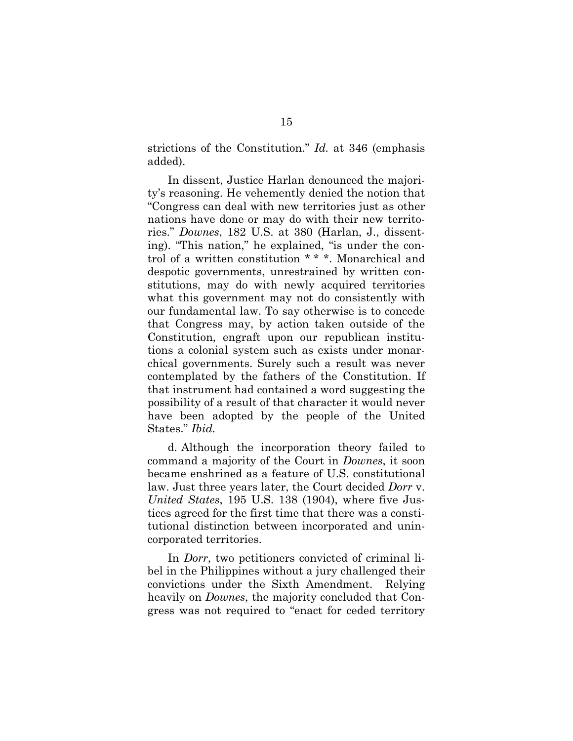strictions of the Constitution." *Id.* at 346 (emphasis added).

In dissent, Justice Harlan denounced the majority's reasoning. He vehemently denied the notion that "Congress can deal with new territories just as other nations have done or may do with their new territories." *Downes*, 182 U.S. at 380 (Harlan, J., dissenting). "This nation," he explained, "is under the control of a written constitution \* \* \*. Monarchical and despotic governments, unrestrained by written constitutions, may do with newly acquired territories what this government may not do consistently with our fundamental law. To say otherwise is to concede that Congress may, by action taken outside of the Constitution, engraft upon our republican institutions a colonial system such as exists under monarchical governments. Surely such a result was never contemplated by the fathers of the Constitution. If that instrument had contained a word suggesting the possibility of a result of that character it would never have been adopted by the people of the United States." *Ibid.*

d. Although the incorporation theory failed to command a majority of the Court in *Downes*, it soon became enshrined as a feature of U.S. constitutional law. Just three years later, the Court decided *Dorr* v. *United States*, 195 U.S. 138 (1904), where five Justices agreed for the first time that there was a constitutional distinction between incorporated and unincorporated territories.

In *Dorr*, two petitioners convicted of criminal libel in the Philippines without a jury challenged their convictions under the Sixth Amendment. Relying heavily on *Downes*, the majority concluded that Congress was not required to "enact for ceded territory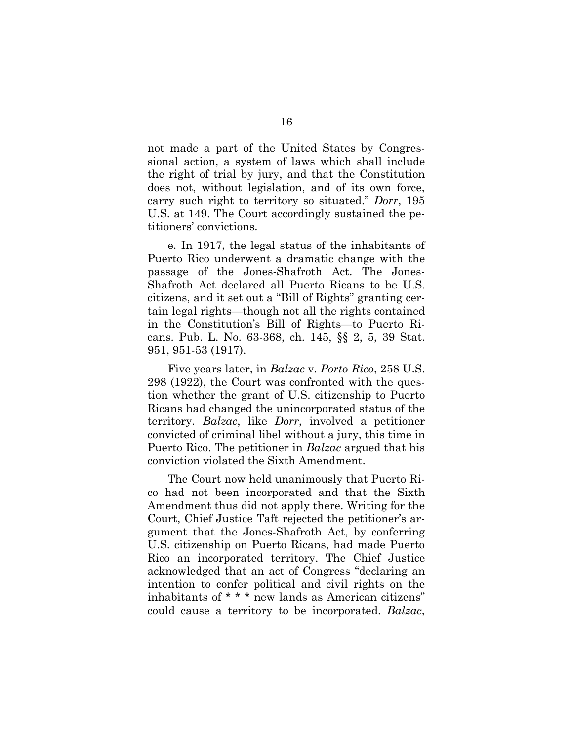not made a part of the United States by Congressional action, a system of laws which shall include the right of trial by jury, and that the Constitution does not, without legislation, and of its own force, carry such right to territory so situated." *Dorr*, 195 U.S. at 149. The Court accordingly sustained the petitioners' convictions.

e. In 1917, the legal status of the inhabitants of Puerto Rico underwent a dramatic change with the passage of the Jones-Shafroth Act. The Jones-Shafroth Act declared all Puerto Ricans to be U.S. citizens, and it set out a "Bill of Rights" granting certain legal rights—though not all the rights contained in the Constitution's Bill of Rights—to Puerto Ricans. Pub. L. No. 63-368, ch. 145, §§ 2, 5, 39 Stat. 951, 951-53 (1917).

Five years later, in *Balzac* v. *Porto Rico*, 258 U.S. 298 (1922), the Court was confronted with the question whether the grant of U.S. citizenship to Puerto Ricans had changed the unincorporated status of the territory. *Balzac*, like *Dorr*, involved a petitioner convicted of criminal libel without a jury, this time in Puerto Rico. The petitioner in *Balzac* argued that his conviction violated the Sixth Amendment.

The Court now held unanimously that Puerto Rico had not been incorporated and that the Sixth Amendment thus did not apply there. Writing for the Court, Chief Justice Taft rejected the petitioner's argument that the Jones-Shafroth Act, by conferring U.S. citizenship on Puerto Ricans, had made Puerto Rico an incorporated territory. The Chief Justice acknowledged that an act of Congress "declaring an intention to confer political and civil rights on the inhabitants of \* \* \* new lands as American citizens" could cause a territory to be incorporated. *Balzac*,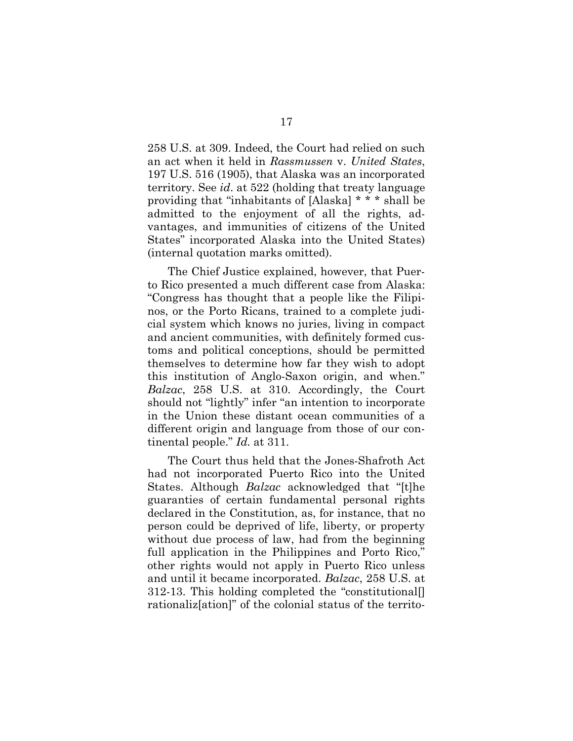258 U.S. at 309. Indeed, the Court had relied on such an act when it held in *Rassmussen* v. *United States*, 197 U.S. 516 (1905), that Alaska was an incorporated territory. See *id*. at 522 (holding that treaty language providing that "inhabitants of [Alaska] \* \* \* shall be admitted to the enjoyment of all the rights, advantages, and immunities of citizens of the United States" incorporated Alaska into the United States) (internal quotation marks omitted).

The Chief Justice explained, however, that Puerto Rico presented a much different case from Alaska: "Congress has thought that a people like the Filipinos, or the Porto Ricans, trained to a complete judicial system which knows no juries, living in compact and ancient communities, with definitely formed customs and political conceptions, should be permitted themselves to determine how far they wish to adopt this institution of Anglo-Saxon origin, and when." *Balzac*, 258 U.S. at 310. Accordingly, the Court should not "lightly" infer "an intention to incorporate in the Union these distant ocean communities of a different origin and language from those of our continental people." *Id.* at 311.

The Court thus held that the Jones-Shafroth Act had not incorporated Puerto Rico into the United States. Although *Balzac* acknowledged that "[t]he guaranties of certain fundamental personal rights declared in the Constitution, as, for instance, that no person could be deprived of life, liberty, or property without due process of law, had from the beginning full application in the Philippines and Porto Rico," other rights would not apply in Puerto Rico unless and until it became incorporated. *Balzac*, 258 U.S. at 312-13. This holding completed the "constitutional[] rationaliz[ation]" of the colonial status of the territo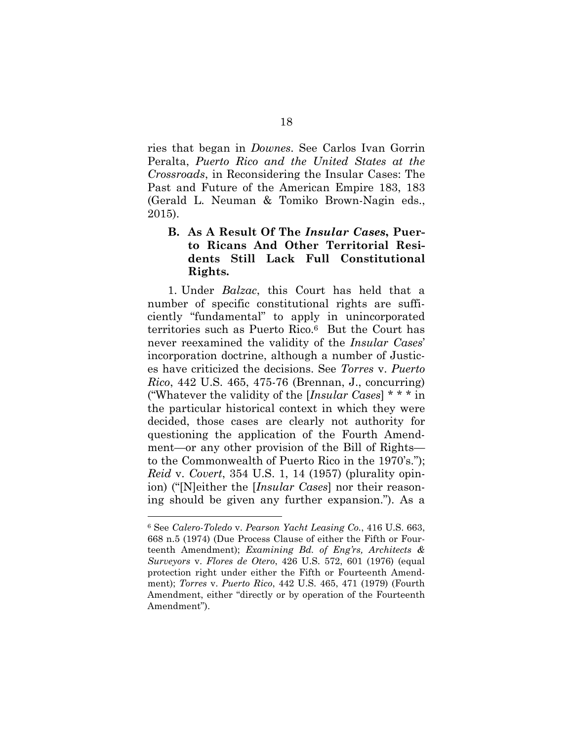ries that began in *Downes*. See Carlos Ivan Gorrin Peralta, *Puerto Rico and the United States at the Crossroads*, in Reconsidering the Insular Cases: The Past and Future of the American Empire 183, 183 (Gerald L. Neuman & Tomiko Brown-Nagin eds., 2015).

## **B. As A Result Of The** *Insular Cases***, Puerto Ricans And Other Territorial Residents Still Lack Full Constitutional Rights.**

1. Under *Balzac*, this Court has held that a number of specific constitutional rights are sufficiently "fundamental" to apply in unincorporated territories such as Puerto Rico.<sup>6</sup> But the Court has never reexamined the validity of the *Insular Cases*' incorporation doctrine, although a number of Justices have criticized the decisions. See *Torres* v. *Puerto Rico*, 442 U.S. 465, 475-76 (Brennan, J., concurring) ("Whatever the validity of the [*Insular Cases*] \* \* \* in the particular historical context in which they were decided, those cases are clearly not authority for questioning the application of the Fourth Amendment—or any other provision of the Bill of Rights to the Commonwealth of Puerto Rico in the 1970's."); *Reid* v. *Covert*, 354 U.S. 1, 14 (1957) (plurality opinion) ("[N]either the [*Insular Cases*] nor their reasoning should be given any further expansion."). As a

<sup>6</sup> See *Calero-Toledo* v. *Pearson Yacht Leasing Co.*, 416 U.S. 663, 668 n.5 (1974) (Due Process Clause of either the Fifth or Fourteenth Amendment); *Examining Bd. of Eng'rs, Architects & Surveyors* v. *Flores de Otero*, 426 U.S. 572, 601 (1976) (equal protection right under either the Fifth or Fourteenth Amendment); *Torres* v. *Puerto Rico*, 442 U.S. 465, 471 (1979) (Fourth Amendment, either "directly or by operation of the Fourteenth Amendment").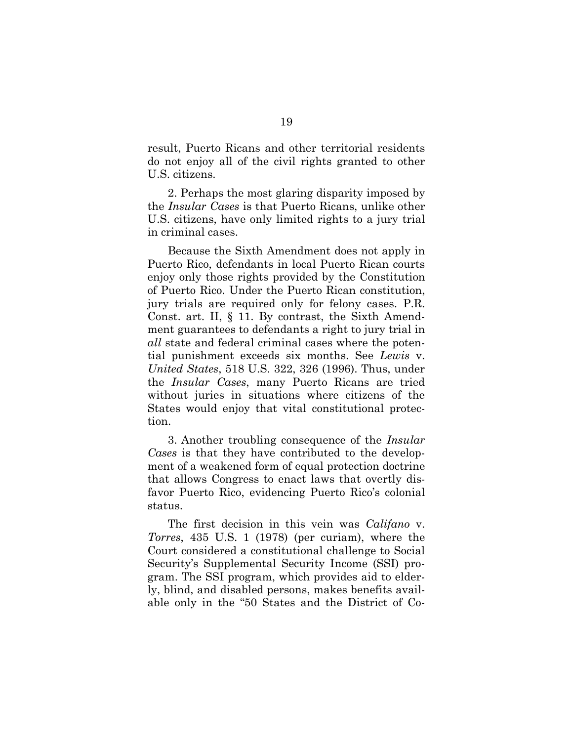result, Puerto Ricans and other territorial residents do not enjoy all of the civil rights granted to other U.S. citizens.

2. Perhaps the most glaring disparity imposed by the *Insular Cases* is that Puerto Ricans, unlike other U.S. citizens, have only limited rights to a jury trial in criminal cases.

Because the Sixth Amendment does not apply in Puerto Rico, defendants in local Puerto Rican courts enjoy only those rights provided by the Constitution of Puerto Rico. Under the Puerto Rican constitution, jury trials are required only for felony cases. P.R. Const. art. II, § 11. By contrast, the Sixth Amendment guarantees to defendants a right to jury trial in *all* state and federal criminal cases where the potential punishment exceeds six months. See *Lewis* v. *United States*, 518 U.S. 322, 326 (1996). Thus, under the *Insular Cases*, many Puerto Ricans are tried without juries in situations where citizens of the States would enjoy that vital constitutional protection.

3. Another troubling consequence of the *Insular Cases* is that they have contributed to the development of a weakened form of equal protection doctrine that allows Congress to enact laws that overtly disfavor Puerto Rico, evidencing Puerto Rico's colonial status.

The first decision in this vein was *Califano* v. *Torres*, 435 U.S. 1 (1978) (per curiam), where the Court considered a constitutional challenge to Social Security's Supplemental Security Income (SSI) program. The SSI program, which provides aid to elderly, blind, and disabled persons, makes benefits available only in the "50 States and the District of Co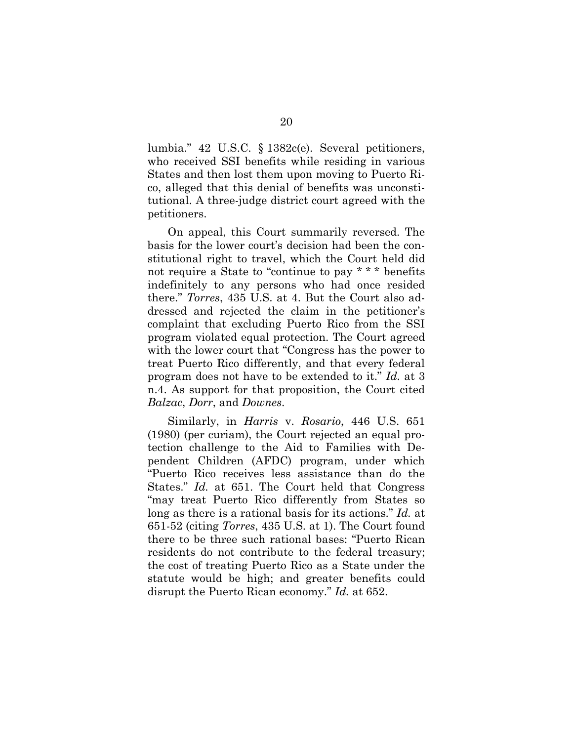lumbia." 42 U.S.C. § 1382c(e). Several petitioners, who received SSI benefits while residing in various States and then lost them upon moving to Puerto Rico, alleged that this denial of benefits was unconstitutional. A three-judge district court agreed with the petitioners.

On appeal, this Court summarily reversed. The basis for the lower court's decision had been the constitutional right to travel, which the Court held did not require a State to "continue to pay \* \* \* benefits indefinitely to any persons who had once resided there." *Torres*, 435 U.S. at 4. But the Court also addressed and rejected the claim in the petitioner's complaint that excluding Puerto Rico from the SSI program violated equal protection. The Court agreed with the lower court that "Congress has the power to treat Puerto Rico differently, and that every federal program does not have to be extended to it." *Id.* at 3 n.4. As support for that proposition, the Court cited *Balzac*, *Dorr*, and *Downes*.

Similarly, in *Harris* v. *Rosario*, 446 U.S. 651 (1980) (per curiam), the Court rejected an equal protection challenge to the Aid to Families with Dependent Children (AFDC) program, under which "Puerto Rico receives less assistance than do the States." *Id.* at 651. The Court held that Congress "may treat Puerto Rico differently from States so long as there is a rational basis for its actions." *Id.* at 651-52 (citing *Torres*, 435 U.S. at 1). The Court found there to be three such rational bases: "Puerto Rican residents do not contribute to the federal treasury; the cost of treating Puerto Rico as a State under the statute would be high; and greater benefits could disrupt the Puerto Rican economy." *Id.* at 652.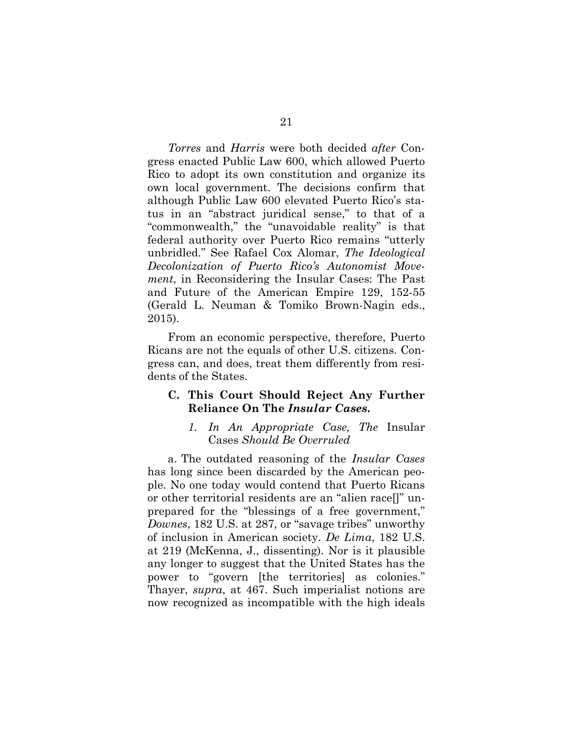*Torres* and *Harris* were both decided *after* Congress enacted Public Law 600, which allowed Puerto Rico to adopt its own constitution and organize its own local government. The decisions confirm that although Public Law 600 elevated Puerto Rico's status in an "abstract juridical sense," to that of a "commonwealth," the "unavoidable reality" is that federal authority over Puerto Rico remains "utterly unbridled." See Rafael Cox Alomar, *The Ideological Decolonization of Puerto Rico's Autonomist Movement*, in Reconsidering the Insular Cases: The Past and Future of the American Empire 129, 152-55 (Gerald L. Neuman & Tomiko Brown-Nagin eds., 2015).

From an economic perspective, therefore, Puerto Ricans are not the equals of other U.S. citizens. Congress can, and does, treat them differently from residents of the States.

#### **C. This Court Should Reject Any Further Reliance On The** *Insular Cases***.**

#### *1. In An Appropriate Case, The* Insular Cases *Should Be Overruled*

a. The outdated reasoning of the *Insular Cases* has long since been discarded by the American people. No one today would contend that Puerto Ricans or other territorial residents are an "alien race[]" unprepared for the "blessings of a free government," *Downes*, 182 U.S. at 287, or "savage tribes" unworthy of inclusion in American society. *De Lima*, 182 U.S. at 219 (McKenna, J., dissenting). Nor is it plausible any longer to suggest that the United States has the power to "govern [the territories] as colonies." Thayer, *supra*, at 467. Such imperialist notions are now recognized as incompatible with the high ideals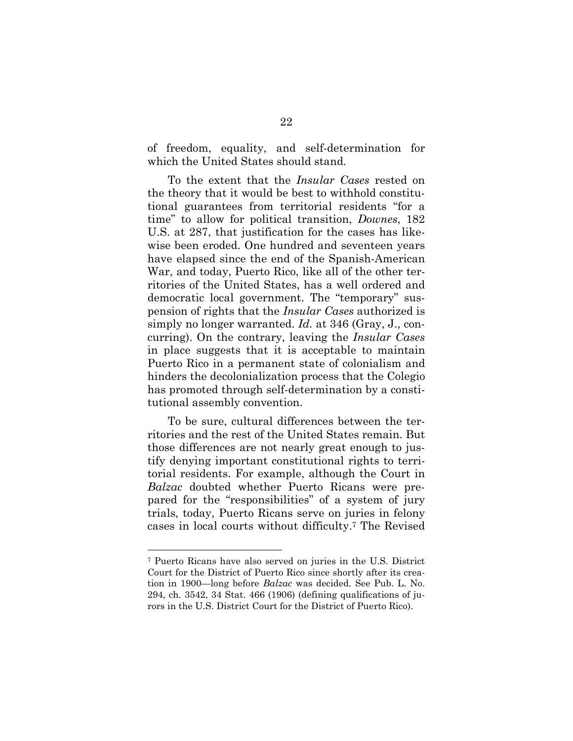of freedom, equality, and self-determination for which the United States should stand.

To the extent that the *Insular Cases* rested on the theory that it would be best to withhold constitutional guarantees from territorial residents "for a time" to allow for political transition, *Downes*, 182 U.S. at 287, that justification for the cases has likewise been eroded. One hundred and seventeen years have elapsed since the end of the Spanish-American War, and today, Puerto Rico, like all of the other territories of the United States, has a well ordered and democratic local government. The "temporary" suspension of rights that the *Insular Cases* authorized is simply no longer warranted. *Id.* at 346 (Gray, J., concurring). On the contrary, leaving the *Insular Cases* in place suggests that it is acceptable to maintain Puerto Rico in a permanent state of colonialism and hinders the decolonialization process that the Colegio has promoted through self-determination by a constitutional assembly convention.

To be sure, cultural differences between the territories and the rest of the United States remain. But those differences are not nearly great enough to justify denying important constitutional rights to territorial residents. For example, although the Court in *Balzac* doubted whether Puerto Ricans were prepared for the "responsibilities" of a system of jury trials, today, Puerto Ricans serve on juries in felony cases in local courts without difficulty.<sup>7</sup> The Revised

<sup>7</sup> Puerto Ricans have also served on juries in the U.S. District Court for the District of Puerto Rico since shortly after its creation in 1900—long before *Balzac* was decided. See Pub. L. No. 294, ch. 3542, 34 Stat. 466 (1906) (defining qualifications of jurors in the U.S. District Court for the District of Puerto Rico).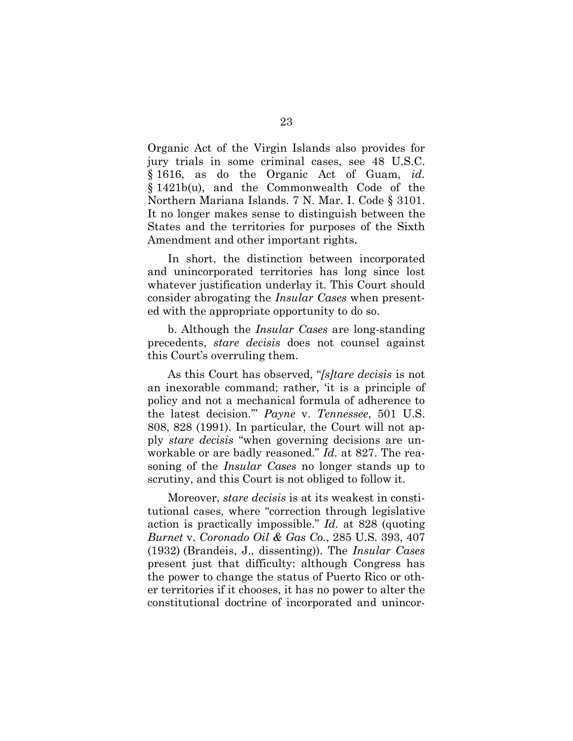Organic Act of the Virgin Islands also provides for jury trials in some criminal cases, see 48 U.S.C. § 1616, as do the Organic Act of Guam, *id.* § 1421b(u), and the Commonwealth Code of the Northern Mariana Islands. 7 N. Mar. I. Code § 3101. It no longer makes sense to distinguish between the States and the territories for purposes of the Sixth Amendment and other important rights.

In short, the distinction between incorporated and unincorporated territories has long since lost whatever justification underlay it. This Court should consider abrogating the *Insular Cases* when presented with the appropriate opportunity to do so.

b. Although the *Insular Cases* are long-standing precedents, *stare decisis* does not counsel against this Court's overruling them.

As this Court has observed, "*[s]tare decisis* is not an inexorable command; rather, 'it is a principle of policy and not a mechanical formula of adherence to the latest decision.'" *Payne* v. *Tennessee*, 501 U.S. 808, 828 (1991). In particular, the Court will not apply *stare decisis* "when governing decisions are unworkable or are badly reasoned." *Id.* at 827. The reasoning of the *Insular Cases* no longer stands up to scrutiny, and this Court is not obliged to follow it.

Moreover, *stare decisis* is at its weakest in constitutional cases, where "correction through legislative action is practically impossible." *Id.* at 828 (quoting *Burnet* v. *Coronado Oil & Gas Co.*, 285 U.S. 393, 407 (1932) (Brandeis, J., dissenting)). The *Insular Cases* present just that difficulty: although Congress has the power to change the status of Puerto Rico or other territories if it chooses, it has no power to alter the constitutional doctrine of incorporated and unincor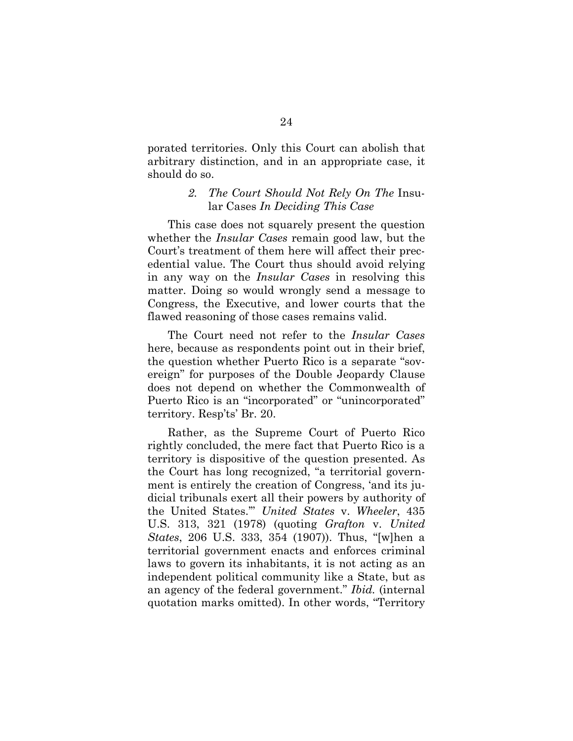porated territories. Only this Court can abolish that arbitrary distinction, and in an appropriate case, it should do so.

#### *2. The Court Should Not Rely On The* Insular Cases *In Deciding This Case*

This case does not squarely present the question whether the *Insular Cases* remain good law, but the Court's treatment of them here will affect their precedential value. The Court thus should avoid relying in any way on the *Insular Cases* in resolving this matter. Doing so would wrongly send a message to Congress, the Executive, and lower courts that the flawed reasoning of those cases remains valid.

The Court need not refer to the *Insular Cases* here, because as respondents point out in their brief, the question whether Puerto Rico is a separate "sovereign" for purposes of the Double Jeopardy Clause does not depend on whether the Commonwealth of Puerto Rico is an "incorporated" or "unincorporated" territory. Resp'ts' Br. 20.

Rather, as the Supreme Court of Puerto Rico rightly concluded, the mere fact that Puerto Rico is a territory is dispositive of the question presented. As the Court has long recognized, "a territorial government is entirely the creation of Congress, 'and its judicial tribunals exert all their powers by authority of the United States.'" *United States* v. *Wheeler*, 435 U.S. 313, 321 (1978) (quoting *Grafton* v. *United States*, 206 U.S. 333, 354 (1907)). Thus, "[w]hen a territorial government enacts and enforces criminal laws to govern its inhabitants, it is not acting as an independent political community like a State, but as an agency of the federal government." *Ibid.* (internal quotation marks omitted). In other words, "Territory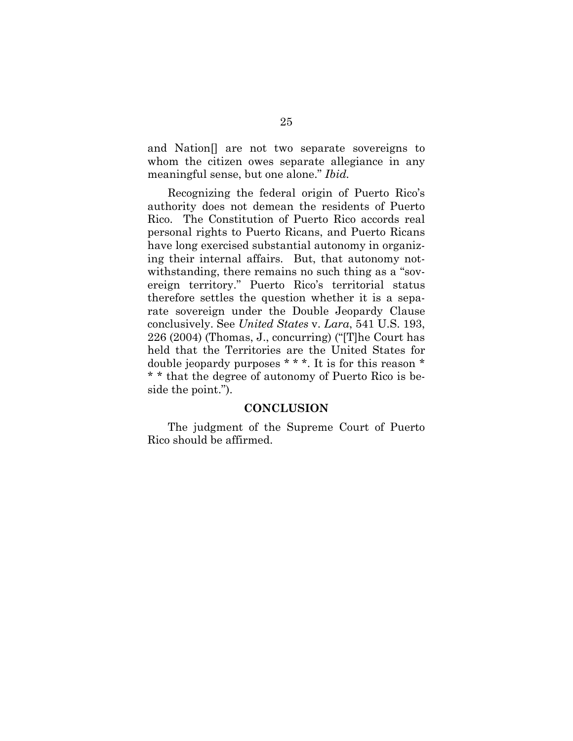and Nation[] are not two separate sovereigns to whom the citizen owes separate allegiance in any meaningful sense, but one alone." *Ibid.*

Recognizing the federal origin of Puerto Rico's authority does not demean the residents of Puerto Rico. The Constitution of Puerto Rico accords real personal rights to Puerto Ricans, and Puerto Ricans have long exercised substantial autonomy in organizing their internal affairs. But, that autonomy notwithstanding, there remains no such thing as a "sovereign territory." Puerto Rico's territorial status therefore settles the question whether it is a separate sovereign under the Double Jeopardy Clause conclusively. See *United States* v. *Lara*, 541 U.S. 193, 226 (2004) (Thomas, J., concurring) ("[T]he Court has held that the Territories are the United States for double jeopardy purposes \* \* \*. It is for this reason \* \* \* that the degree of autonomy of Puerto Rico is beside the point.").

#### **CONCLUSION**

The judgment of the Supreme Court of Puerto Rico should be affirmed.